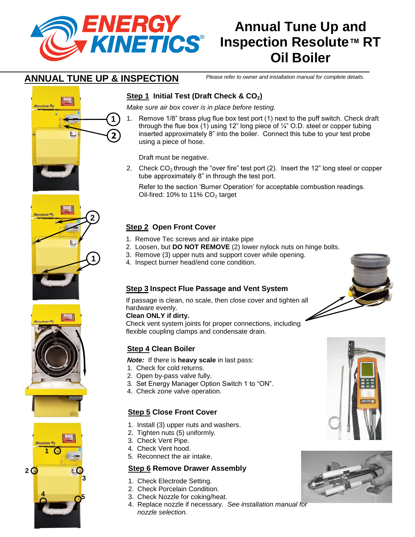

**2**

**1**

# **Annual Tune Up and Inspection Resolute™ RT Oil Boiler**

## **ANNUAL TUNE UP & INSPECTION**

**1**

**2**

*Please refer to owner and installation manual for complete details.*

## **Step 1 Initial Test (Draft Check & CO2)**

*Make sure air box cover is in place before testing.*

1. Remove 1/8" brass plug flue box test port (1) next to the puff switch. Check draft through the flue box (1) using 12" long piece of ¼" O.D. steel or copper tubing inserted approximately 8" into the boiler. Connect this tube to your test probe using a piece of hose.

Draft must be negative.

2. Check  $CO<sub>2</sub>$  through the "over fire" test port (2). Insert the 12" long steel or copper tube approximately 8" in through the test port.

Refer to the section 'Burner Operation' for acceptable combustion readings. Oil-fired: 10% to 11%  $CO<sub>2</sub>$  target

## **Step 2 Open Front Cover**

- 1. Remove Tec screws and air intake pipe
- 2. Loosen, but **DO NOT REMOVE** (2) lower nylock nuts on hinge bolts.
- 3. Remove (3) upper nuts and support cover while opening.
- 4. Inspect burner head/end cone condition.

## **Step 3 Inspect Flue Passage and Vent System**

If passage is clean, no scale, then close cover and tighten all hardware evenly.

#### **Clean ONLY if dirty.**

Check vent system joints for proper connections, including flexible coupling clamps and condensate drain.

### **Step 4 Clean Boiler**

*Note:* If there is **heavy scale** in last pass:

- 1. Check for cold returns.
- 2. Open by-pass valve fully.
- 3. Set Energy Manager Option Switch 1 to "ON".
- 4. Check zone valve operation.

## **Step 5 Close Front Cover**

- 1. Install (3) upper nuts and washers.
- 2. Tighten nuts (5) uniformly.
- 3. Check Vent Pipe.
- 4. Check Vent hood.
- 5. Reconnect the air intake.

### **Step 6 Remove Drawer Assembly**

- 1. Check Electrode Setting.
- 2. Check Porcelain Condition.
- 3. Check Nozzle for coking/heat.
- 4. Replace nozzle if necessary. *See installation manual for nozzle selection.*







**Resolute R<sub>T</sub>** 



**4**



**5**